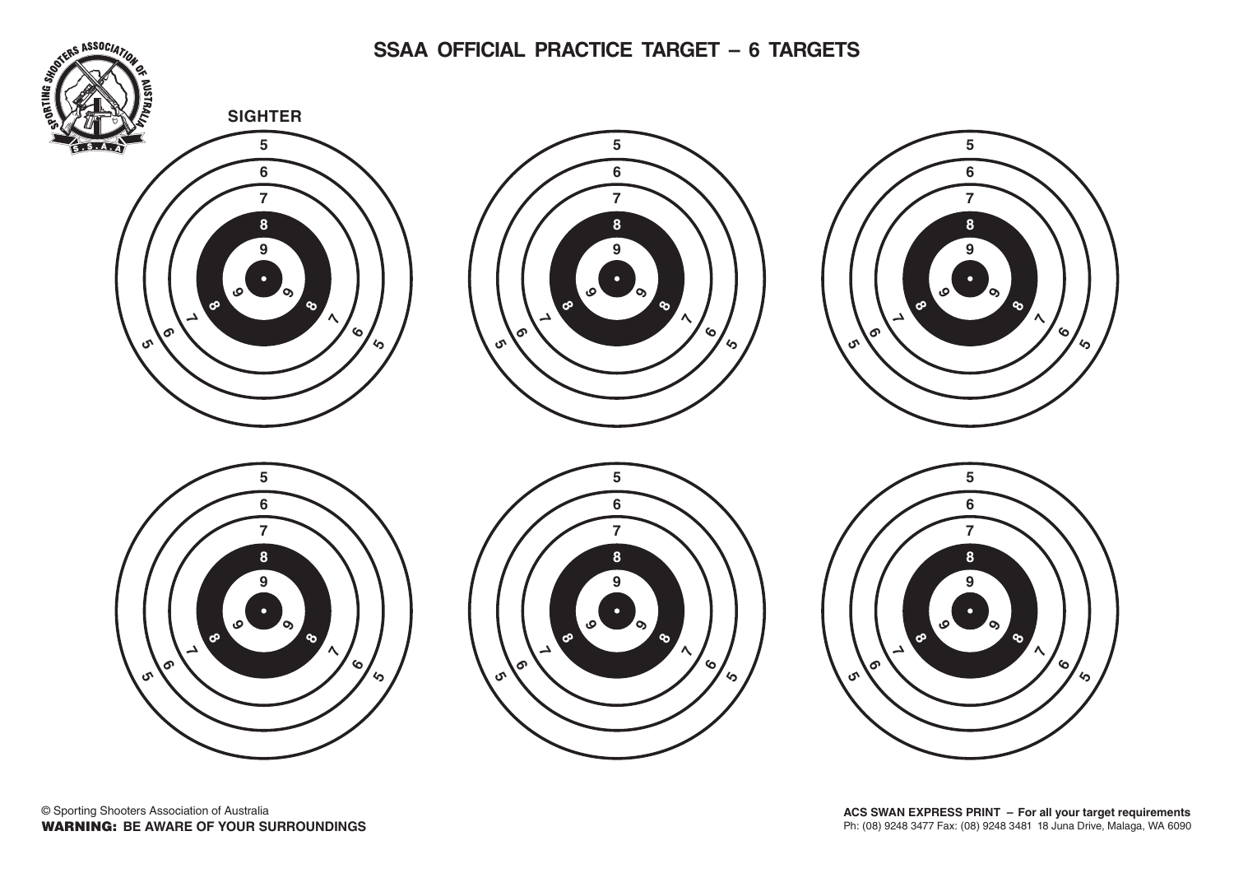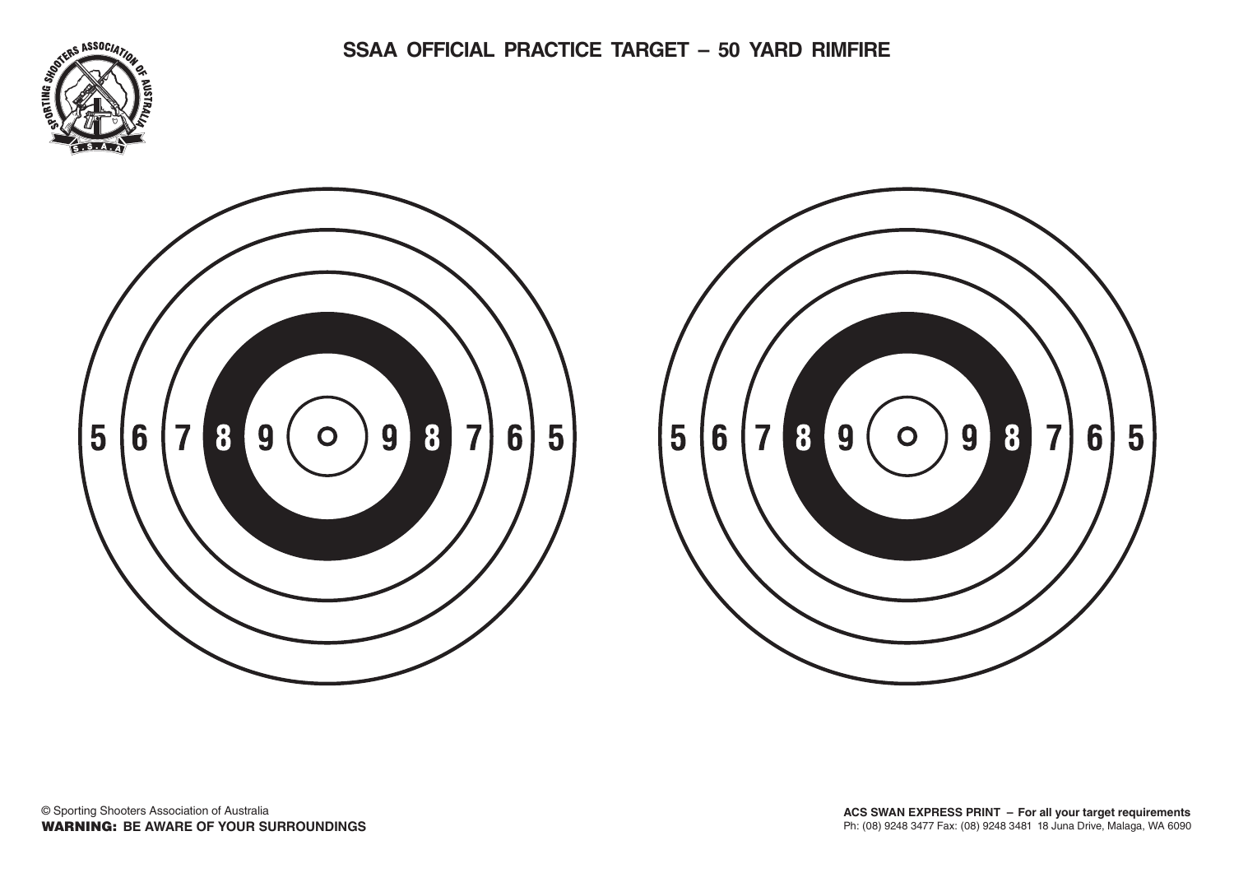



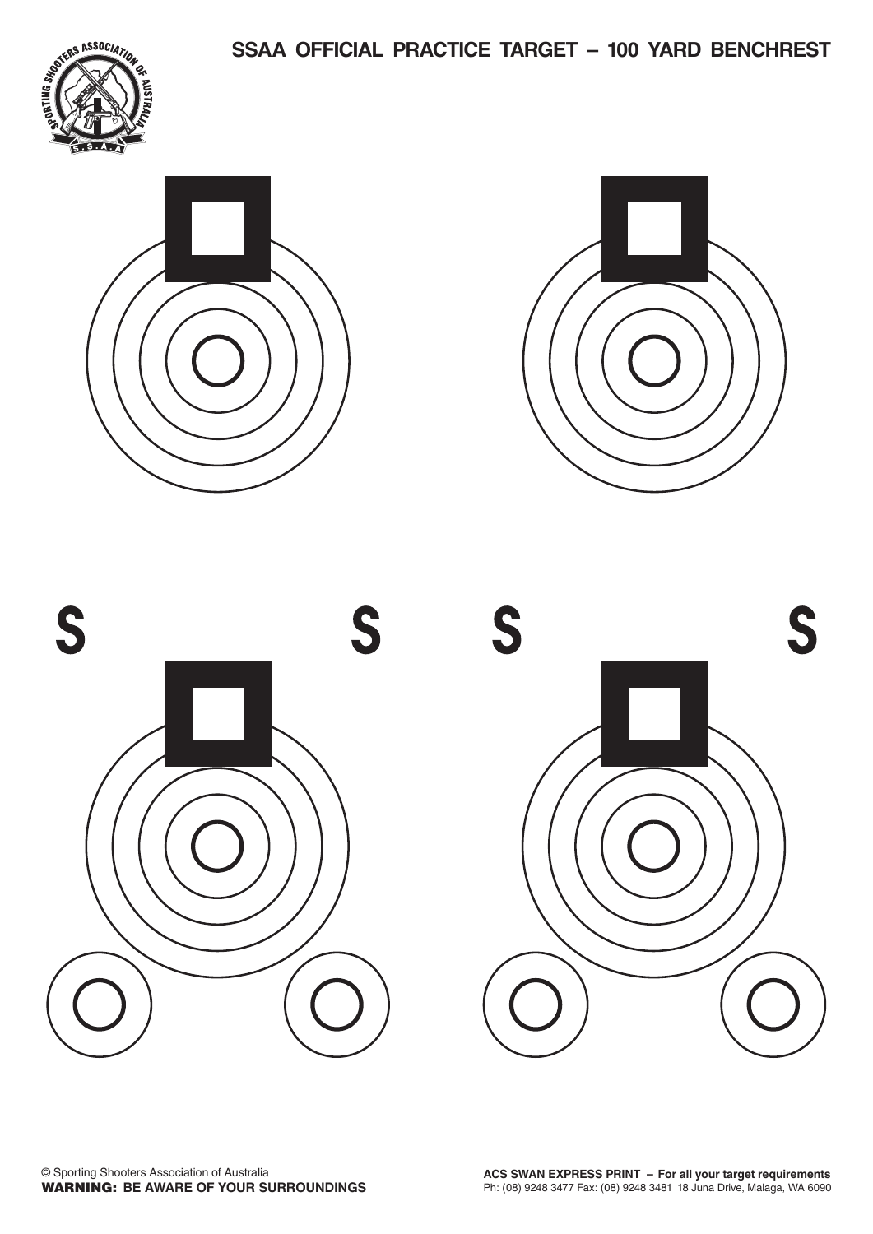

**SSAA OFFICIAL PRACTICE TARGET – 100 YARD BENCHREST**





S

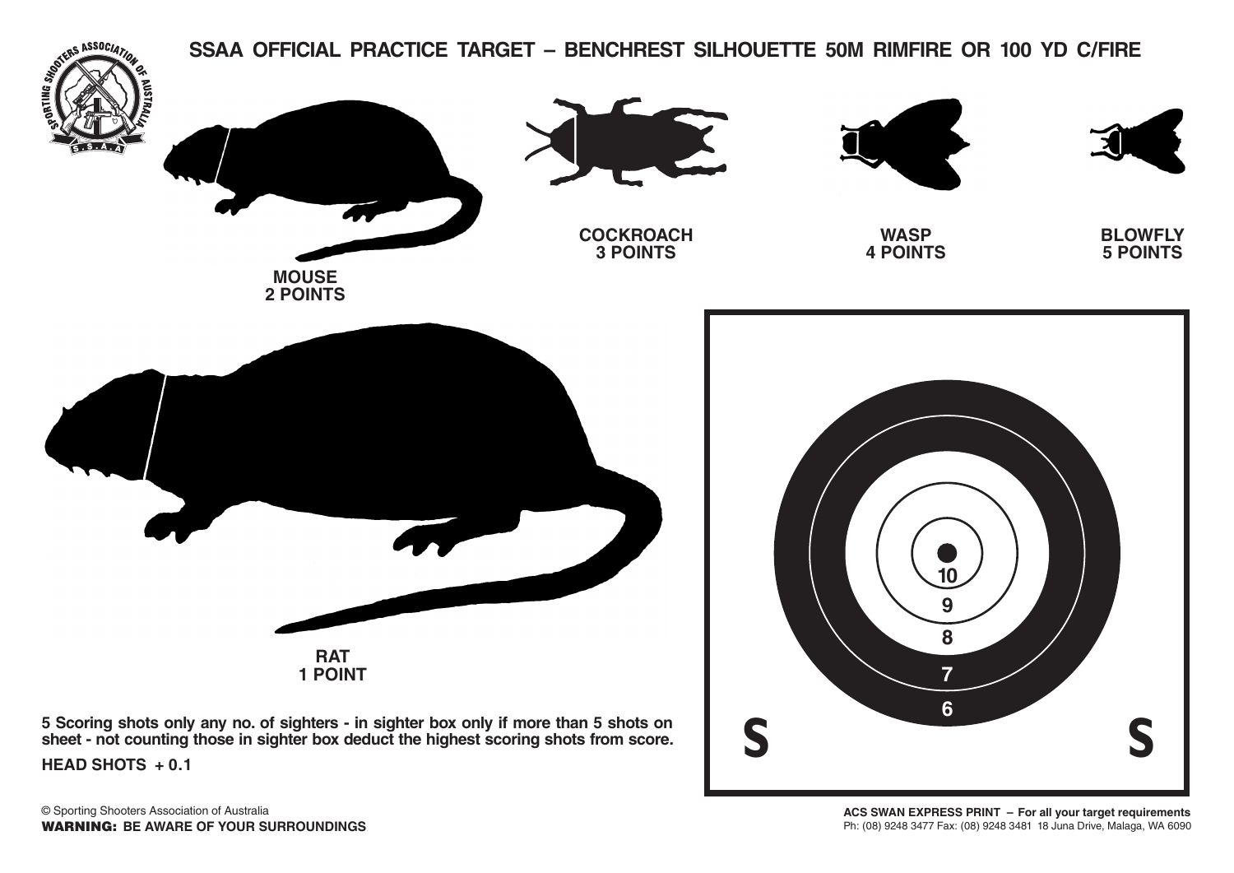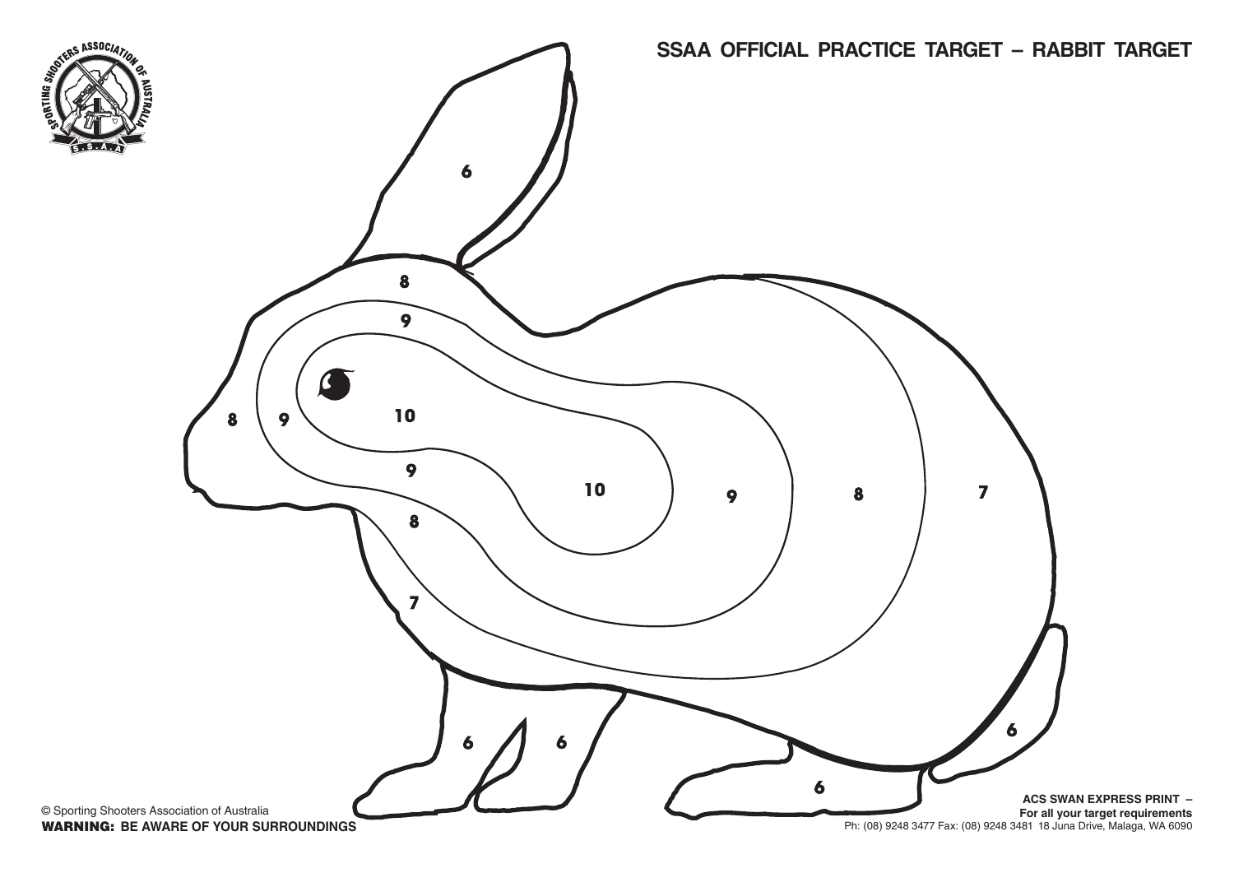